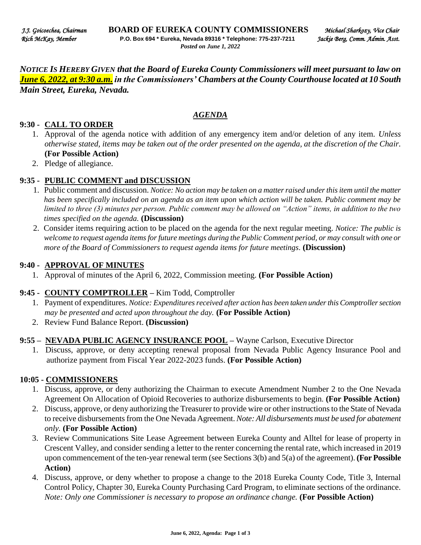*NOTICE IS HEREBY GIVEN that the Board of Eureka County Commissioners will meet pursuant to law on June 6, 2022, at 9:30 a.m. in the Commissioners' Chambers at the County Courthouse located at 10 South Main Street, Eureka, Nevada.* 

#### *AGENDA*

#### **9:30 - CALL TO ORDER**

- 1. Approval of the agenda notice with addition of any emergency item and/or deletion of any item. *Unless otherwise stated, items may be taken out of the order presented on the agenda, at the discretion of the Chair.* **(For Possible Action)**
- 2. Pledge of allegiance.

#### **9:35 - PUBLIC COMMENT and DISCUSSION**

- 1. Public comment and discussion. *Notice: No action may be taken on a matter raised under this item until the matter has been specifically included on an agenda as an item upon which action will be taken. Public comment may be limited to three (3) minutes per person. Public comment may be allowed on "Action" items, in addition to the two times specified on the agenda.* **(Discussion)**
- 2. Consider items requiring action to be placed on the agenda for the next regular meeting. *Notice: The public is welcome to request agenda items for future meetings during the Public Comment period, or may consult with one or more of the Board of Commissioners to request agenda items for future meetings*. **(Discussion)**

#### **9:40 - APPROVAL OF MINUTES**

1. Approval of minutes of the April 6, 2022, Commission meeting. **(For Possible Action)** 

#### **9:45 - COUNTY COMPTROLLER –** Kim Todd, Comptroller

- 1. Payment of expenditures. *Notice: Expenditures received after action has been taken under this Comptroller section may be presented and acted upon throughout the day.* **(For Possible Action)**
- 2. Review Fund Balance Report. **(Discussion)**

#### **9:55 – NEVADA PUBLIC AGENCY INSURANCE POOL –** Wayne Carlson, Executive Director

1. Discuss, approve, or deny accepting renewal proposal from Nevada Public Agency Insurance Pool and authorize payment from Fiscal Year 2022-2023 funds. **(For Possible Action)** 

#### **10:05 - COMMISSIONERS**

- 1. Discuss, approve, or deny authorizing the Chairman to execute Amendment Number 2 to the One Nevada Agreement On Allocation of Opioid Recoveries to authorize disbursements to begin*.* **(For Possible Action)**
- 2. Discuss, approve, or deny authorizing the Treasurer to provide wire or other instructions to the State of Nevada to receive disbursements from the One Nevada Agreement. *Note: All disbursements must be used for abatement only.* **(For Possible Action)**
- 3. Review Communications Site Lease Agreement between Eureka County and Alltel for lease of property in Crescent Valley, and consider sending a letter to the renter concerning the rental rate, which increased in 2019 upon commencement of the ten-year renewal term (see Sections 3(b) and 5(a) of the agreement). **(For Possible Action)**
- 4. Discuss, approve, or deny whether to propose a change to the 2018 Eureka County Code, Title 3, Internal Control Policy, Chapter 30, Eureka County Purchasing Card Program, to eliminate sections of the ordinance. *Note: Only one Commissioner is necessary to propose an ordinance change.* **(For Possible Action)**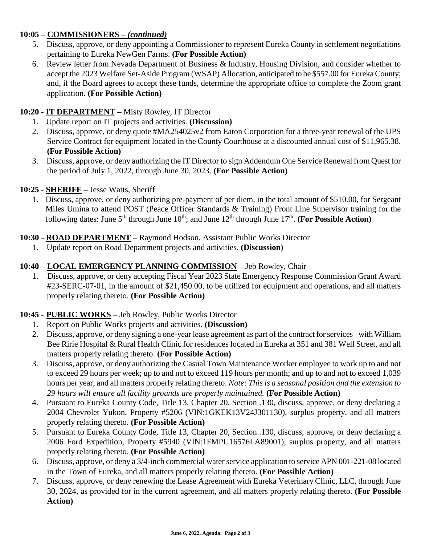# **10:05 – COMMISSIONERS –** *(continued)*

- 5. Discuss, approve, or deny appointing a Commissioner to represent Eureka County in settlement negotiations pertaining to Eureka NewGen Farms. **(For Possible Action)**
- 6. Review letter from Nevada Department of Business & Industry, Housing Division, and consider whether to accept the 2023 Welfare Set-Aside Program (WSAP) Allocation, anticipated to be \$557.00 for Eureka County; and, if the Board agrees to accept these funds, determine the appropriate office to complete the Zoom grant application. **(For Possible Action)**

# **10:20 - IT DEPARTMENT –** Misty Rowley, IT Director

- 1. Update report on IT projects and activities. **(Discussion)**
- 2. Discuss, approve, or deny quote #MA254025v2 from Eaton Corporation for a three-year renewal of the UPS Service Contract for equipment located in the County Courthouse at a discounted annual cost of \$11,965.38. **(For Possible Action)**
- 3. Discuss, approve, or deny authorizing the IT Director to sign Addendum One Service Renewal from Quest for the period of July 1, 2022, through June 30, 2023. **(For Possible Action)**

## **10:25 - SHERIFF –** Jesse Watts, Sheriff

1. Discuss, approve, or deny authorizing pre-payment of per diem, in the total amount of \$510.00, for Sergeant Miles Umina to attend POST (Peace Officer Standards & Training) Front Line Supervisor training for the following dates: June  $5<sup>th</sup>$  through June  $10<sup>th</sup>$ ; and June  $12<sup>th</sup>$  through June  $17<sup>th</sup>$ . (For Possible Action)

## **10:30 –ROAD DEPARTMENT –** Raymond Hodson, Assistant Public Works Director

1. Update report on Road Department projects and activities. **(Discussion)** 

## **10:40 – LOCAL EMERGENCY PLANNING COMMISSION –** Jeb Rowley, Chair

1. Discuss, approve, or deny accepting Fiscal Year 2023 State Emergency Response Commission Grant Award #23-SERC-07-01, in the amount of \$21,450.00, to be utilized for equipment and operations, and all matters properly relating thereto. **(For Possible Action)** 

### **10:45 - PUBLIC WORKS –** Jeb Rowley, Public Works Director

- 1. Report on Public Works projects and activities. **(Discussion)**
- 2. Discuss, approve, or deny signing a one-year lease agreement as part of the contract for services with William Bee Ririe Hospital & Rural Health Clinic for residences located in Eureka at 351 and 381 Well Street, and all matters properly relating thereto. **(For Possible Action)**
- 3. Discuss, approve, or deny authorizing the Casual Town Maintenance Worker employee to work up to and not to exceed 29 hours per week; up to and not to exceed 119 hours per month; and up to and not to exceed 1,039 hours per year, and all matters properly relating thereto. *Note: This is a seasonal position and the extension to 29 hours will ensure all facility grounds are properly maintained.* **(For Possible Action)**
- 4. Pursuant to Eureka County Code, Title 13, Chapter 20, Section .130, discuss, approve, or deny declaring a 2004 Chevrolet Yukon, Property #5206 (VIN:1GKEK13V24J301130), surplus property, and all matters properly relating thereto. **(For Possible Action)**
- 5. Pursuant to Eureka County Code, Title 13, Chapter 20, Section .130, discuss, approve, or deny declaring a 2006 Ford Expedition, Property #5940 (VIN:1FMPU16576LA89001), surplus property, and all matters properly relating thereto. **(For Possible Action)**
- 6. Discuss, approve, or deny a 3/4-inch commercial water service application to service APN 001-221-08 located in the Town of Eureka, and all matters properly relating thereto. **(For Possible Action)**
- 7. Discuss, approve, or deny renewing the Lease Agreement with Eureka Veterinary Clinic, LLC, through June 30, 2024, as provided for in the current agreement, and all matters properly relating thereto. **(For Possible Action)**